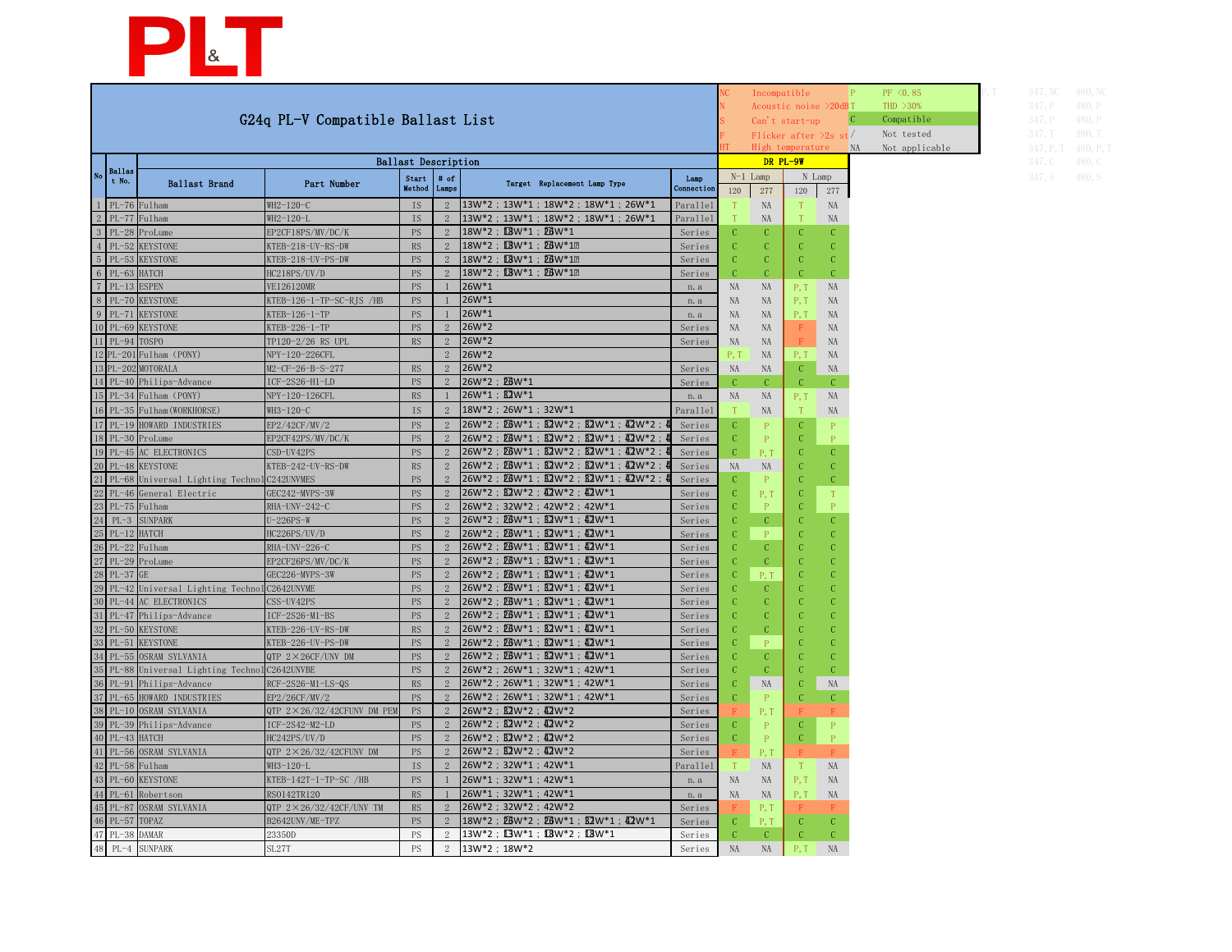| 347, NC   | 480, NC   |
|-----------|-----------|
| 347, F    | 480, F    |
| 347, P    | 480, P    |
| 347, T    | 480, T    |
| 347, P, T | 480, P, T |
| 347, C    | 480, C    |
| 347, S    | 480, S    |



|                                   |                                                                           |                                      |                            |                |                                                                                   |                  |           | Incompatible         |                  |                       |    | PF <0.85       | 347, NC   | 480, NC   |
|-----------------------------------|---------------------------------------------------------------------------|--------------------------------------|----------------------------|----------------|-----------------------------------------------------------------------------------|------------------|-----------|----------------------|------------------|-----------------------|----|----------------|-----------|-----------|
|                                   |                                                                           |                                      |                            |                |                                                                                   |                  |           |                      |                  | Acoustic noise >20dBT |    | THD $>30\%$    | 347, F    | 480, F    |
| G24q PL-V Compatible Ballast List |                                                                           |                                      |                            |                |                                                                                   |                  |           | Can't start-up       |                  |                       |    | Compatible     | 347, P    | 480, P    |
|                                   |                                                                           |                                      |                            |                |                                                                                   |                  |           |                      |                  | Flicker after $2s$ st |    | Not tested     | 347, T    | 480, T    |
|                                   |                                                                           |                                      |                            |                |                                                                                   |                  |           |                      | High temperature |                       | NA | Not applicable | 347, P, T | 480, P, T |
|                                   |                                                                           |                                      | <b>Ballast Description</b> |                |                                                                                   |                  |           |                      | DR PL-9W         |                       |    |                | 347, C    | 480, C    |
| Ballas<br>t No.                   |                                                                           |                                      | Start                      | # of           |                                                                                   | Lamp             |           | $N-1$ Lamp<br>N Lamp |                  |                       |    |                | 347, S    | 480, S    |
|                                   | Ballast Brand                                                             | Part Number                          | Method Lamps               |                | Target Replacement Lamp Type                                                      | Connection       | 120       | 277                  | 120              | 277                   |    |                |           |           |
| $1$ PL-76 Fulham                  |                                                                           | WH2-120-C                            | IS.                        | 2              | 13W*2 ; 13W*1 ; 18W*2 ; 18W*1 ; 26W*1                                             | Parallel         |           | NA                   |                  | NA                    |    |                |           |           |
| $2$ PL-77 Fulham                  |                                                                           | WH2-120-L                            | <b>IS</b>                  |                | 13W*2; 13W*1; 18W*2; 18W*1; 26W*1                                                 | Parallel         |           | NA                   |                  | <b>NA</b>             |    |                |           |           |
| $\vert$ 3   PL-28   ProLume       |                                                                           | EP2CF18PS/MV/DC/K                    | $\mathop{\mathrm{PS}}$     |                | 18W*2; L3W*1; L6W*1                                                               | Series           |           |                      |                  |                       |    |                |           |           |
| 4 PL-52 KEYSTONE                  |                                                                           | KTEB-218-UV-RS-DW                    | <b>RS</b>                  | 2              | 18W*2; LBW*1; LBW*12                                                              | Series           |           |                      |                  |                       |    |                |           |           |
|                                   | 5 PL-53 KEYSTONE                                                          | KTEB-218-UV-PS-DW                    | PS                         | $\mathcal{D}$  | 18W*2; LBW*1; LBW*12                                                              | Series           |           |                      |                  |                       |    |                |           |           |
| $6$ PL-63 HATCH                   |                                                                           | HC218PS/UV/D                         | <b>PS</b>                  |                | 18W*2; LBW*1; LBW*12                                                              | Series           |           |                      |                  |                       |    |                |           |           |
| $7$ PL-13 ESPEN                   |                                                                           | VE126120MR                           | <b>PS</b>                  |                | 26W*1                                                                             | n. a             | NA        | <b>NA</b>            | P.I              | NA                    |    |                |           |           |
| 8 PL-70 KEYSTONE                  |                                                                           | KTEB-126-1-TP-SC-RJS /HB             | PS                         |                | 26W*1                                                                             | n. a             | <b>NA</b> | <b>NA</b>            | P, T             | NA                    |    |                |           |           |
| 9 PL-71 KEYSTONE                  |                                                                           | KTEB-126-1-TP                        | PS                         |                | 26W*1                                                                             | n. a             | <b>NA</b> | NA                   | P, T             | NA                    |    |                |           |           |
|                                   | 10 PL-69 KEYSTONE                                                         | KTEB-226-1-TP                        | PS                         | $\mathcal{D}$  | 26W <sup>*2</sup>                                                                 | Series           | <b>NA</b> | NA                   |                  | <b>NA</b>             |    |                |           |           |
| 11 PL-94 TOSPO                    |                                                                           | TP120-2/26 RS UPL                    | RS                         |                | 26W <sup>*2</sup>                                                                 | Series           | NA        | NA                   |                  | NA                    |    |                |           |           |
|                                   | 12 PL-201 Fulham (PONY)                                                   | NPY-120-226CFL                       |                            |                | 26W <sup>*2</sup>                                                                 |                  |           | NA                   | P, T             | <b>NA</b>             |    |                |           |           |
| 13 PL-202 MOTORALA                |                                                                           | M2-CF-26-B-S-277                     | <b>RS</b>                  |                | 26W*2                                                                             | Series           | NA        | NA                   |                  | NA                    |    |                |           |           |
|                                   | 14 PL-40 Philips-Advance                                                  | ICF-2S26-H1-LD                       | $\mathop{\mathrm{PS}}$     | $\overline{2}$ | 26W*2; 26W*1                                                                      | Series           |           |                      | C                | C                     |    |                |           |           |
|                                   | 15 PL-34 Fulham (PONY)                                                    | NPY-120-126CFL                       | RS                         |                | 26W*1; B2W*1                                                                      | n. a             | <b>NA</b> | <b>NA</b>            | P, T             | NA                    |    |                |           |           |
|                                   | 16 PL-35 Fulham (WORKHORSE)                                               | WH3-120-C                            | <b>IS</b>                  | $\overline{2}$ | 18W*2; 26W*1; 32W*1                                                               | Parallel         |           | NA                   |                  | <b>NA</b>             |    |                |           |           |
|                                   | 17 PL-19 HOWARD INDUSTRIES                                                | EP2/42CF/MV/2                        | <b>PS</b>                  | $\mathcal{D}$  | 26W*2; DBW*1; B2W*2; B2W*1; D2W*2;                                                | Series           |           |                      |                  |                       |    |                |           |           |
| $18$ PL-30 ProLume                |                                                                           | EP2CF42PS/MV/DC/K                    | <b>PS</b>                  | 2              | 26W*2; 26W*1; 82W*2; 82W*1; 42W*2;                                                | Series           |           |                      | C.               | $\mathbf{P}$          |    |                |           |           |
|                                   | 19 PL-45 AC ELECTRONICS                                                   | CSD-UV42PS                           | <b>PS</b>                  |                | 26W*2; DBW*1; B2W*2; B2W*1; D2W*2;                                                | Series           |           | $P^{\prime}$ .       |                  |                       |    |                |           |           |
|                                   | 20 PL-48 KEYSTONE                                                         | KTEB-242-UV-RS-DW                    | RS                         |                | 26W*2; DBW*1; B2W*2; B2W*1; D2W*2;                                                | Series           | <b>NA</b> | <b>NA</b>            |                  |                       |    |                |           |           |
|                                   | 21 PL-68 Universal Lighting Technol C242UNVMES                            |                                      | PS                         |                | 26W*2; DBW*1; B2W*2; B2W*1; D2W*2;                                                | Series           |           |                      |                  |                       |    |                |           |           |
|                                   | 22 PL-46 General Electric                                                 | GEC242-MVPS-3W                       | PS                         | 2              | 26W*2; B2W*2; 42W*2; 42W*1                                                        | Series           |           | P, 1                 |                  |                       |    |                |           |           |
| 23 PL-75 Fulham                   |                                                                           | RHA-UNV-242-C                        | <b>PS</b>                  |                | 2 26W*2 ; 32W*2 ; 42W*2 ; 42W*1                                                   | Series           |           | - 13                 | $\sim$           |                       |    |                |           |           |
| 24 PL-3 SUNPARK                   |                                                                           | U-226PS-W                            | <b>PS</b>                  |                | $ 26W^*2 $ ; $26W^*1$ ; $22W^*1$ ; $42W^*1$                                       | Series           |           |                      |                  |                       |    |                |           |           |
| $25$ PL-12 HATCH                  |                                                                           | HC226PS/UV/D                         | PS                         |                | $ 26W^*2 : 26W^*1 : 22W^*1 : 42W^*1$                                              | Series           |           |                      |                  |                       |    |                |           |           |
| $26$ PL-22 Fulham                 |                                                                           | RHA-UNV-226-C                        | <b>PS</b>                  |                | $26W^*2$ ; $26W^*1$ ; $2W^*1$ ; $42W^*1$                                          | Series           |           |                      |                  |                       |    |                |           |           |
| $27$ PL-29 ProLume                |                                                                           | EP2CF26PS/MV/DC/K                    | PS                         |                | $26W^*2$ ; $26W^*1$ ; $2W^*1$ ; $42W^*1$                                          | Series           |           |                      |                  |                       |    |                |           |           |
| $28$ PL-37 GE                     |                                                                           | GEC226-MVPS-3W                       | <b>PS</b>                  |                | $ 26W^*2 : 26W^*1 : 22W^*1 : 42W^*1$<br>$26W^*2$ ; $26W^*1$ ; $22W^*1$ ; $42W^*1$ | Series           |           | P, T                 |                  |                       |    |                |           |           |
|                                   | 29 PL-42 Universal Lighting Technol C2642UNVME<br>30 PL-44 AC ELECTRONICS |                                      | <b>PS</b>                  |                | $26W^*2$ ; $26W^*1$ ; $26W^*1$ ; $42W^*1$                                         | Series           |           |                      |                  |                       |    |                |           |           |
|                                   | 31 PL-47 Philips-Advance                                                  | CSS-UV42PS<br>ICF-2S26-M1-BS         | <b>PS</b><br><b>PS</b>     |                | $26W^*2$ ; $26W^*1$ ; $2W^*1$ ; $42W^*1$                                          | Series<br>Series |           |                      |                  |                       |    |                |           |           |
|                                   | 32 PL-50 KEYSTONE                                                         | KTEB-226-UV-RS-DW                    | RS                         |                | $26W^*2$ : $26W^*1$ : $2W^*1$ : $42W^*1$                                          | Series           |           |                      |                  |                       |    |                |           |           |
|                                   | 33 PL-51 KEYSTONE                                                         | KTEB-226-UV-PS-DW                    | <b>PS</b>                  |                | $26W^*2$ ; $26W^*1$ ; $22W^*1$ ; $42W^*1$                                         | Series           |           |                      |                  |                       |    |                |           |           |
|                                   | 34 PL-55 OSRAM SYLVANIA                                                   | QTP $2 \times 26CF/UNV$ DM           | <b>PS</b>                  |                | 26W*2; DBW*1; B2W*1; LDW*1                                                        | Series           |           |                      |                  |                       |    |                |           |           |
|                                   | 35 PL-88 Universal Lighting Technol C2642UNVBE                            |                                      | <b>PS</b>                  |                | 26W*2; 26W*1; 32W*1; 42W*1                                                        | Series           |           |                      |                  |                       |    |                |           |           |
|                                   | 36 PL-91 Philips-Advance                                                  | $RCF-2S26-M1-LS-QS$                  | RS                         | $\overline{2}$ | 26W*2; 26W*1; 32W*1; 42W*1                                                        | Series           |           | NA                   |                  | NA                    |    |                |           |           |
|                                   | 37 PL-65 HOWARD INDUSTRIES                                                | EP2/26CF/MV/2                        | PS                         | 2              | 26W*2; 26W*1; 32W*1; 42W*1                                                        | Series           |           |                      |                  |                       |    |                |           |           |
|                                   | 38 PL-10 OSRAM SYLVANIA                                                   | QTP $2 \times 26/32/42$ CFUNV DM PEM | PS                         |                | $26W^*2$ ; $\overline{2}W^*2$ ; $\overline{4}2W^*2$                               | Series           |           |                      |                  |                       |    |                |           |           |
|                                   | 39 PL-39 Philips-Advance                                                  | ICF-2S42-M2-LD                       | <b>PS</b>                  |                | 26W*2; B2W*2; E2W*2                                                               | Series           |           |                      |                  |                       |    |                |           |           |
| 40 PL-43 HATCH                    |                                                                           | HC242PS/UV/D                         | <b>PS</b>                  |                | $26W^*2$ ; $\overline{2}W^*2$ ; $\overline{4}2W^*2$                               | Series           |           |                      |                  |                       |    |                |           |           |
|                                   | 41 PL-56 OSRAM SYLVANIA                                                   | QTP $2 \times 26/32/42$ CFUNV DM     | <b>PS</b>                  |                | $26W^*2$ ; $\overline{2}W^*2$ ; $\overline{4}2W^*2$                               | Series           |           | Р, 1                 |                  |                       |    |                |           |           |
| $42$ PL-58 Fulham                 |                                                                           | WH3-120-L                            | IS                         | 2              | 26W*2; 32W*1; 42W*1                                                               | Parallel         |           | NA.                  |                  | NA                    |    |                |           |           |
|                                   | 43 PL-60 KEYSTONE                                                         | KTEB-142T-1-TP-SC /HB                | <b>PS</b>                  |                | 26W*1; 32W*1; 42W*1                                                               | n. a             | NA        | NA.                  |                  | NA                    |    |                |           |           |
|                                   | 44 PL-61 Robertson                                                        | RS0142TR120                          | RS                         |                | 26W*1; 32W*1; 42W*1                                                               | n. a             | NA        | NA.                  | P, T             | NA                    |    |                |           |           |
|                                   | 45 PL-87 OSRAM SYLVANIA                                                   | QTP $2 \times 26/32/42CF/UNV$ TM     | RS                         |                | $ 26W^*2; 32W^*2; 42W^*2$                                                         | Series           |           | P, 1                 |                  |                       |    |                |           |           |
| 46 PL-57 TOPAZ                    |                                                                           | B2642UNV/ME-TPZ                      | <b>PS</b>                  |                | 18W*2: 26W*2: 26W*1: 82W*1: 42W*1                                                 | Series           |           | P, 1                 |                  |                       |    |                |           |           |
| 47 PL-38 DAMAR                    |                                                                           | 23350D                               | <b>PS</b>                  |                | 13W*2; 13W*1; 13W*2; 13W*1                                                        | Series           |           |                      |                  |                       |    |                |           |           |
| 48 PL-4 SUNPARK                   |                                                                           | SL27T                                | <b>PS</b>                  | 2              | 13W*2; 18W*2                                                                      | Series           | NA        | NA                   |                  | NA                    |    |                |           |           |